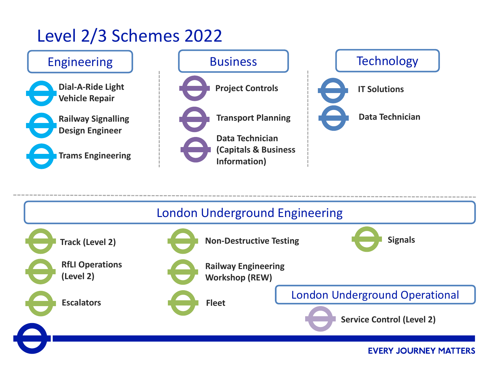## Level 2/3 Schemes 2022



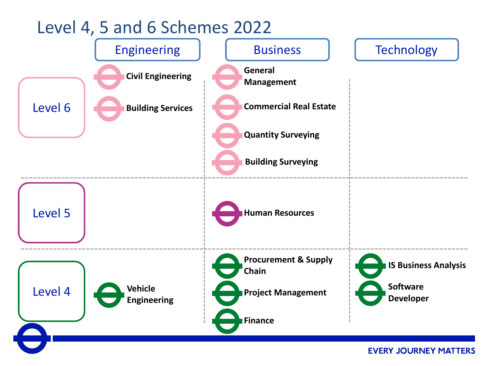### Level 4, 5 and 6 Schemes 2022



**EVERY JOURNEY MATTERS**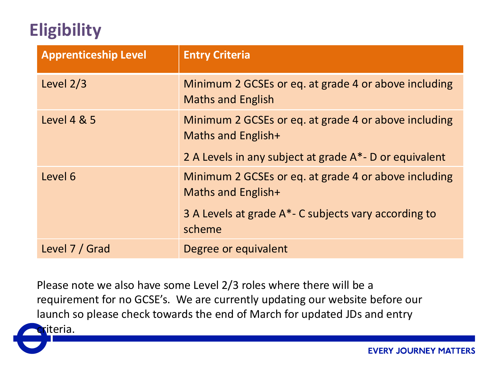# **Eligibility**

| <b>Apprenticeship Level</b> | <b>Entry Criteria</b>                                                            |
|-----------------------------|----------------------------------------------------------------------------------|
| Level $2/3$                 | Minimum 2 GCSEs or eq. at grade 4 or above including<br><b>Maths and English</b> |
| <b>Level 4 &amp; 5</b>      | Minimum 2 GCSEs or eq. at grade 4 or above including<br>Maths and English+       |
|                             | 2 A Levels in any subject at grade A*- D or equivalent                           |
| Level 6                     | Minimum 2 GCSEs or eq. at grade 4 or above including<br>Maths and English+       |
|                             | 3 A Levels at grade A <sup>*</sup> - C subjects vary according to<br>scheme      |
| Level 7 / Grad              | Degree or equivalent                                                             |

Please note we also have some Level 2/3 roles where there will be a requirement for no GCSE's. We are currently updating our website before our launch so please check towards the end of March for updated JDs and entry

riteria.